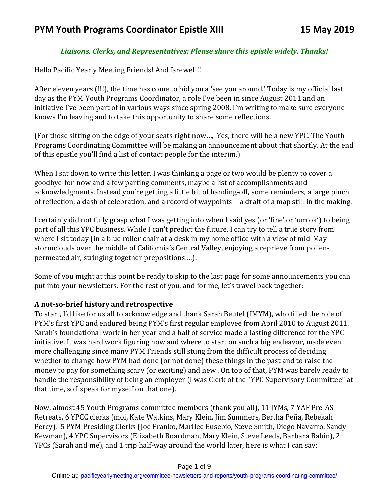## *Liaisons, Clerks, and Representatives: Please share this epistle widely. Thanks!*

Hello Pacific Yearly Meeting Friends! And farewell!!

After eleven years (!!!), the time has come to bid you a 'see you around.' Today is my official last day as the PYM Youth Programs Coordinator, a role I've been in since August 2011 and an initiative I've been part of in various ways since spring 2008. I'm writing to make sure everyone knows I'm leaving and to take this opportunity to share some reflections.

(For those sitting on the edge of your seats right now…, Yes, there will be a new YPC. The Youth Programs Coordinating Committee will be making an announcement about that shortly. At the end of this epistle you'll find a list of contact people for the interim.)

When I sat down to write this letter, I was thinking a page or two would be plenty to cover a goodbye-for-now and a few parting comments, maybe a list of accomplishments and acknowledgments. Instead you're getting a little bit of handing-off, some reminders, a large pinch of reflection, a dash of celebration, and a record of waypoints—a draft of a map still in the making.

I certainly did not fully grasp what I was getting into when I said yes (or 'fine' or 'um ok') to being part of all this YPC business. While I can't predict the future, I can try to tell a true story from where I sit today (in a blue roller chair at a desk in my home office with a view of mid-May stormclouds over the middle of California's Central Valley, enjoying a reprieve from pollenpermeated air, stringing together prepositions….).

Some of you might at this point be ready to skip to the last page for some announcements you can put into your newsletters. For the rest of you, and for me, let's travel back together:

## **A not-so-brief history and retrospective**

To start, I'd like for us all to acknowledge and thank Sarah Beutel (IMYM), who filled the role of PYM's first YPC and endured being PYM's first regular employee from April 2010 to August 2011. Sarah's foundational work in her year and a half of service made a lasting difference for the YPC initiative. It was hard work figuring how and where to start on such a big endeavor, made even more challenging since many PYM Friends still stung from the difficult process of deciding whether to change how PYM had done (or not done) these things in the past and to raise the money to pay for something scary (or exciting) and new . On top of that, PYM was barely ready to handle the responsibility of being an employer (I was Clerk of the "YPC Supervisory Committee" at that time, so I speak for myself on that one).

Now, almost 45 Youth Programs committee members (thank you all), 11 JYMs, 7 YAF Pre-AS-Retreats, 6 YPCC clerks (moi, Kate Watkins, Mary Klein, Jim Summers, Bertha Peña, Rebekah Percy), 5 PYM Presiding Clerks (Joe Franko, Marilee Eusebio, Steve Smith, Diego Navarro, Sandy Kewman), 4 YPC Supervisors (Elizabeth Boardman, Mary Klein, Steve Leeds, Barbara Babin), 2 YPCs (Sarah and me), and 1 trip half-way around the world later, here is what I can say: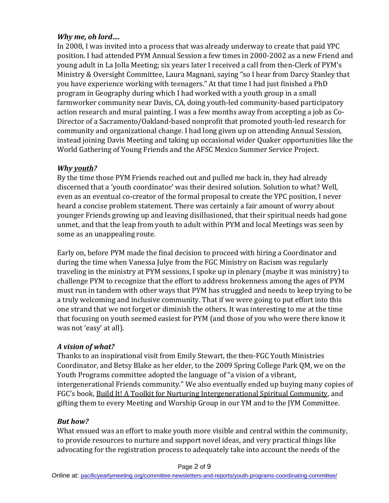## *Why me, oh lord….*

In 2008, I was invited into a process that was already underway to create that paid YPC position. I had attended PYM Annual Session a few times in 2000-2002 as a new Friend and young adult in La Jolla Meeting; six years later I received a call from then-Clerk of PYM's Ministry & Oversight Committee, Laura Magnani, saying "so I hear from Darcy Stanley that you have experience working with teenagers." At that time I had just finished a PhD program in Geography during which I had worked with a youth group in a small farmworker community near Davis, CA, doing youth-led community-based participatory action research and mural painting. I was a few months away from accepting a job as Co-Director of a Sacramento/Oakland-based nonprofit that promoted youth-led research for community and organizational change. I had long given up on attending Annual Session, instead joining Davis Meeting and taking up occasional wider Quaker opportunities like the World Gathering of Young Friends and the AFSC Mexico Summer Service Project.

#### *Why youth?*

By the time those PYM Friends reached out and pulled me back in, they had already discerned that a 'youth coordinator' was their desired solution. Solution to what? Well, even as an eventual co-creator of the formal proposal to create the YPC position, I never heard a concise problem statement. There was certainly a fair amount of worry about younger Friends growing up and leaving disillusioned, that their spiritual needs had gone unmet, and that the leap from youth to adult within PYM and local Meetings was seen by some as an unappealing route.

Early on, before PYM made the final decision to proceed with hiring a Coordinator and during the time when Vanessa Julye from the FGC Ministry on Racism was regularly traveling in the ministry at PYM sessions, I spoke up in plenary (maybe it was ministry) to challenge PYM to recognize that the effort to address brokenness among the ages of PYM must run in tandem with other ways that PYM has struggled and needs to keep trying to be a truly welcoming and inclusive community. That if we were going to put effort into this one strand that we not forget or diminish the others. It was interesting to me at the time that focusing on youth seemed easiest for PYM (and those of you who were there know it was not 'easy' at all).

## *A vision of what?*

Thanks to an inspirational visit from Emily Stewart, the then-FGC Youth Ministries Coordinator, and Betsy Blake as her elder, to the 2009 Spring College Park QM, we on the Youth Programs committee adopted the language of "a vision of a vibrant, intergenerational Friends community." We also eventually ended up buying many copies of FGC's book, Build It! A Toolkit for Nurturing Intergenerational Spiritual Community, and gifting them to every Meeting and Worship Group in our YM and to the JYM Committee.

## *But how?*

What ensued was an effort to make youth more visible and central within the community, to provide resources to nurture and support novel ideas, and very practical things like advocating for the registration process to adequately take into account the needs of the

Page 2 of 9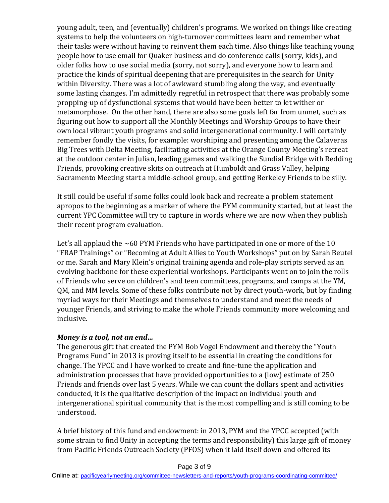young adult, teen, and (eventually) children's programs. We worked on things like creating systems to help the volunteers on high-turnover committees learn and remember what their tasks were without having to reinvent them each time. Also things like teaching young people how to use email for Quaker business and do conference calls (sorry, kids), and older folks how to use social media (sorry, not sorry), and everyone how to learn and practice the kinds of spiritual deepening that are prerequisites in the search for Unity within Diversity. There was a lot of awkward stumbling along the way, and eventually some lasting changes. I'm admittedly regretful in retrospect that there was probably some propping-up of dysfunctional systems that would have been better to let wither or metamorphose. On the other hand, there are also some goals left far from unmet, such as figuring out how to support all the Monthly Meetings and Worship Groups to have their own local vibrant youth programs and solid intergenerational community. I will certainly remember fondly the visits, for example: worshiping and presenting among the Calaveras Big Trees with Delta Meeting, facilitating activities at the Orange County Meeting's retreat at the outdoor center in Julian, leading games and walking the Sundial Bridge with Redding Friends, provoking creative skits on outreach at Humboldt and Grass Valley, helping Sacramento Meeting start a middle-school group, and getting Berkeley Friends to be silly.

It still could be useful if some folks could look back and recreate a problem statement apropos to the beginning as a marker of where the PYM community started, but at least the current YPC Committee will try to capture in words where we are now when they publish their recent program evaluation.

Let's all applaud the  $\sim$ 60 PYM Friends who have participated in one or more of the 10 "FRAP Trainings" or "Becoming at Adult Allies to Youth Workshops" put on by Sarah Beutel or me. Sarah and Mary Klein's original training agenda and role-play scripts served as an evolving backbone for these experiential workshops. Participants went on to join the rolls of Friends who serve on children's and teen committees, programs, and camps at the YM, QM, and MM levels. Some of these folks contribute not by direct youth-work, but by finding myriad ways for their Meetings and themselves to understand and meet the needs of younger Friends, and striving to make the whole Friends community more welcoming and inclusive.

## *Money is a tool, not an end…*

The generous gift that created the PYM Bob Vogel Endowment and thereby the "Youth Programs Fund" in 2013 is proving itself to be essential in creating the conditions for change. The YPCC and I have worked to create and fine-tune the application and administration processes that have provided opportunities to a (low) estimate of 250 Friends and friends over last 5 years. While we can count the dollars spent and activities conducted, it is the qualitative description of the impact on individual youth and intergenerational spiritual community that is the most compelling and is still coming to be understood.

A brief history of this fund and endowment: in 2013, PYM and the YPCC accepted (with some strain to find Unity in accepting the terms and responsibility) this large gift of money from Pacific Friends Outreach Society (PFOS) when it laid itself down and offered its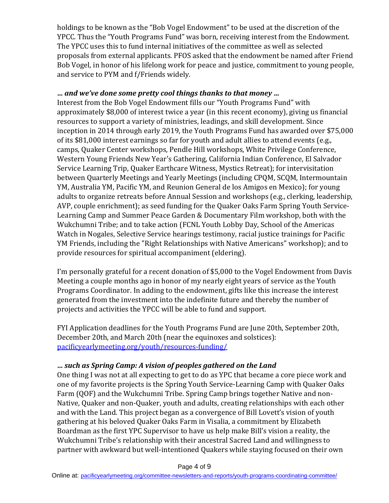holdings to be known as the "Bob Vogel Endowment" to be used at the discretion of the YPCC. Thus the "Youth Programs Fund" was born, receiving interest from the Endowment. The YPCC uses this to fund internal initiatives of the committee as well as selected proposals from external applicants. PFOS asked that the endowment be named after Friend Bob Vogel, in honor of his lifelong work for peace and justice, commitment to young people, and service to PYM and f/Friends widely.

#### *… and we've done some pretty cool things thanks to that money …*

Interest from the Bob Vogel Endowment fills our "Youth Programs Fund" with approximately \$8,000 of interest twice a year (in this recent economy), giving us financial resources to support a variety of ministries, leadings, and skill development. Since inception in 2014 through early 2019, the Youth Programs Fund has awarded over \$75,000 of its \$81,000 interest earnings so far for youth and adult allies to attend events (e.g., camps, Quaker Center workshops, Pendle Hill workshops, White Privilege Conference, Western Young Friends New Year's Gathering, California Indian Conference, El Salvador Service Learning Trip, Quaker Earthcare Witness, Mystics Retreat); for intervisitation between Quarterly Meetings and Yearly Meetings (including CPQM, SCQM, Intermountain YM, Australia YM, Pacific YM, and Reunion General de los Amigos en Mexico); for young adults to organize retreats before Annual Session and workshops (e.g., clerking, leadership, AVP, couple enrichment); as seed funding for the Quaker Oaks Farm Spring Youth Service-Learning Camp and Summer Peace Garden & Documentary Film workshop, both with the Wukchumni Tribe; and to take action (FCNL Youth Lobby Day, School of the Americas Watch in Nogales, Selective Service hearings testimony, racial justice trainings for Pacific YM Friends, including the "Right Relationships with Native Americans" workshop); and to provide resources for spiritual accompaniment (eldering).

I'm personally grateful for a recent donation of \$5,000 to the Vogel Endowment from Davis Meeting a couple months ago in honor of my nearly eight years of service as the Youth Programs Coordinator. In adding to the endowment, gifts like this increase the interest generated from the investment into the indefinite future and thereby the number of projects and activities the YPCC will be able to fund and support.

FYI Application deadlines for the Youth Programs Fund are June 20th, September 20th, December 20th, and March 20th (near the equinoxes and solstices): [pacificyearlymeeting.org/youth/resources-funding/](http://pacificyearlymeeting.org/youth/resources-funding/)

## *… such as Spring Camp: A vision of peoples gathered on the Land*

One thing I was not at all expecting to get to do as YPC that became a core piece work and one of my favorite projects is the Spring Youth Service-Learning Camp with Quaker Oaks Farm (QOF) and the Wukchumni Tribe. Spring Camp brings together Native and non-Native, Quaker and non-Quaker, youth and adults, creating relationships with each other and with the Land. This project began as a convergence of Bill Lovett's vision of youth gathering at his beloved Quaker Oaks Farm in Visalia, a commitment by Elizabeth Boardman as the first YPC Supervisor to have us help make Bill's vision a reality, the Wukchumni Tribe's relationship with their ancestral Sacred Land and willingness to partner with awkward but well-intentioned Quakers while staying focused on their own

Page 4 of 9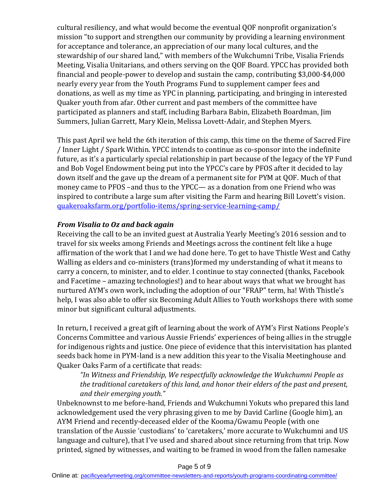cultural resiliency, and what would become the eventual QOF nonprofit organization's mission "to support and strengthen our community by providing a learning environment for acceptance and tolerance, an appreciation of our many local cultures, and the stewardship of our shared land," with members of the Wukchumni Tribe, Visalia Friends Meeting, Visalia Unitarians, and others serving on the QOF Board. YPCC has provided both financial and people-power to develop and sustain the camp, contributing \$3,000-\$4,000 nearly every year from the Youth Programs Fund to supplement camper fees and donations, as well as my time as YPC in planning, participating, and bringing in interested Quaker youth from afar. Other current and past members of the committee have participated as planners and staff, including Barbara Babin, Elizabeth Boardman, Jim Summers, Julian Garrett, Mary Klein, Melissa Lovett-Adair, and Stephen Myers.

This past April we held the 6th iteration of this camp, this time on the theme of Sacred Fire / Inner Light / Spark Within. YPCC intends to continue as co-sponsor into the indefinite future, as it's a particularly special relationship in part because of the legacy of the YP Fund and Bob Vogel Endowment being put into the YPCC's care by PFOS after it decided to lay down itself and the gave up the dream of a permanent site for PYM at QOF. Much of that money came to PFOS –and thus to the YPCC— as a donation from one Friend who was inspired to contribute a large sum after visiting the Farm and hearing Bill Lovett's vision. [quakeroaksfarm.org/portfolio-items/spring-service-learning-camp/](http://quakeroaksfarm.org/portfolio-items/spring-service-learning-camp/)

#### *From Visalia to Oz and back again*

Receiving the call to be an invited guest at Australia Yearly Meeting's 2016 session and to travel for six weeks among Friends and Meetings across the continent felt like a huge affirmation of the work that I and we had done here. To get to have Thistle West and Cathy Walling as elders and co-ministers (trans)formed my understanding of what it means to carry a concern, to minister, and to elder. I continue to stay connected (thanks, Facebook and Facetime – amazing technologies!) and to hear about ways that what we brought has nurtured AYM's own work, including the adoption of our "FRAP" term, ha! With Thistle's help, I was also able to offer six Becoming Adult Allies to Youth workshops there with some minor but significant cultural adjustments.

In return, I received a great gift of learning about the work of AYM's First Nations People's Concerns Committee and various Aussie Friends' experiences of being allies in the struggle for indigenous rights and justice. One piece of evidence that this intervisitation has planted seeds back home in PYM-land is a new addition this year to the Visalia Meetinghouse and Quaker Oaks Farm of a certificate that reads:

*"In Witness and Friendship, We respectfully acknowledge the Wukchumni People as the traditional caretakers of this land, and honor their elders of the past and present, and their emerging youth."* 

Unbeknownst to me before-hand, Friends and Wukchumni Yokuts who prepared this land acknowledgement used the very phrasing given to me by David Carline (Google him), an AYM Friend and recently-deceased elder of the Kooma/Gwamu People (with one translation of the Aussie 'custodians' to 'caretakers,' more accurate to Wukchumni and US language and culture), that I've used and shared about since returning from that trip. Now printed, signed by witnesses, and waiting to be framed in wood from the fallen namesake

Page 5 of 9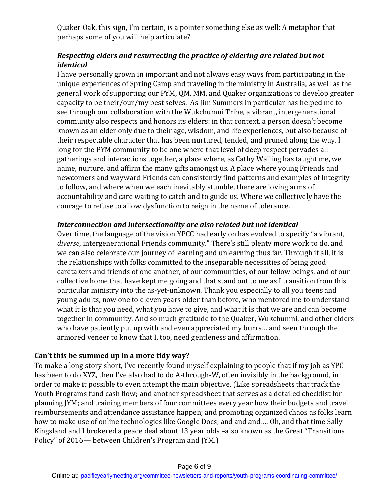Quaker Oak, this sign, I'm certain, is a pointer something else as well: A metaphor that perhaps some of you will help articulate?

# *Respecting elders and resurrecting the practice of eldering are related but not identical*

I have personally grown in important and not always easy ways from participating in the unique experiences of Spring Camp and traveling in the ministry in Australia, as well as the general work of supporting our PYM, QM, MM, and Quaker organizations to develop greater capacity to be their/our/my best selves. As Jim Summers in particular has helped me to see through our collaboration with the Wukchumni Tribe, a vibrant, intergenerational community also respects and honors its elders: in that context, a person doesn't become known as an elder only due to their age, wisdom, and life experiences, but also because of their respectable character that has been nurtured, tended, and pruned along the way. I long for the PYM community to be one where that level of deep respect pervades all gatherings and interactions together, a place where, as Cathy Walling has taught me, we name, nurture, and affirm the many gifts amongst us. A place where young Friends and newcomers and wayward Friends can consistently find patterns and examples of Integrity to follow, and where when we each inevitably stumble, there are loving arms of accountability and care waiting to catch and to guide us. Where we collectively have the courage to refuse to allow dysfunction to reign in the name of tolerance.

## *Interconnection and intersectionality are also related but not identical*

Over time, the language of the vision YPCC had early on has evolved to specify "a vibrant, *diverse*, intergenerational Friends community." There's still plenty more work to do, and we can also celebrate our journey of learning and unlearning thus far. Through it all, it is the relationships with folks committed to the inseparable necessities of being good caretakers and friends of one another, of our communities, of our fellow beings, and of our collective home that have kept me going and that stand out to me as I transition from this particular ministry into the as-yet-unknown. Thank you especially to all you teens and young adults, now one to eleven years older than before, who mentored me to understand what it is that you need, what you have to give, and what it is that we are and can become together in community. And so much gratitude to the Quaker, Wukchumni, and other elders who have patiently put up with and even appreciated my burrs… and seen through the armored veneer to know that I, too, need gentleness and affirmation.

## **Can't this be summed up in a more tidy way?**

To make a long story short, I've recently found myself explaining to people that if my job as YPC has been to do XYZ, then I've also had to do A-through-W, often invisibly in the background, in order to make it possible to even attempt the main objective. (Like spreadsheets that track the Youth Programs fund cash flow; and another spreadsheet that serves as a detailed checklist for planning JYM; and training members of four committees every year how their budgets and travel reimbursements and attendance assistance happen; and promoting organized chaos as folks learn how to make use of online technologies like Google Docs; and and and.... Oh, and that time Sally Kingsland and I brokered a peace deal about 13 year olds –also known as the Great "Transitions Policy" of 2016— between Children's Program and JYM.)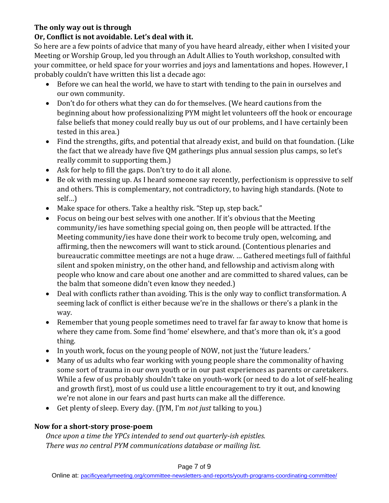## **The only way out is through**

## **Or, Conflict is not avoidable. Let's deal with it.**

So here are a few points of advice that many of you have heard already, either when I visited your Meeting or Worship Group, led you through an Adult Allies to Youth workshop, consulted with your committee, or held space for your worries and joys and lamentations and hopes. However, I probably couldn't have written this list a decade ago:

- Before we can heal the world, we have to start with tending to the pain in ourselves and our own community.
- Don't do for others what they can do for themselves. (We heard cautions from the beginning about how professionalizing PYM might let volunteers off the hook or encourage false beliefs that money could really buy us out of our problems, and I have certainly been tested in this area.)
- Find the strengths, gifts, and potential that already exist, and build on that foundation. (Like the fact that we already have five QM gatherings plus annual session plus camps, so let's really commit to supporting them.)
- Ask for help to fill the gaps. Don't try to do it all alone.
- Be ok with messing up. As I heard someone say recently, perfectionism is oppressive to self and others. This is complementary, not contradictory, to having high standards. (Note to self…)
- Make space for others. Take a healthy risk. "Step up, step back."
- Focus on being our best selves with one another. If it's obvious that the Meeting community/ies have something special going on, then people will be attracted. If the Meeting community/ies have done their work to become truly open, welcoming, and affirming, then the newcomers will want to stick around. (Contentious plenaries and bureaucratic committee meetings are not a huge draw. … Gathered meetings full of faithful silent and spoken ministry, on the other hand, and fellowship and activism along with people who know and care about one another and are committed to shared values, can be the balm that someone didn't even know they needed.)
- Deal with conflicts rather than avoiding. This is the only way to conflict transformation. A seeming lack of conflict is either because we're in the shallows or there's a plank in the way.
- Remember that young people sometimes need to travel far far away to know that home is where they came from. Some find 'home' elsewhere, and that's more than ok, it's a good thing.
- In youth work, focus on the young people of NOW, not just the 'future leaders.'
- Many of us adults who fear working with young people share the commonality of having some sort of trauma in our own youth or in our past experiences as parents or caretakers. While a few of us probably shouldn't take on youth-work (or need to do a lot of self-healing and growth first), most of us could use a little encouragement to try it out, and knowing we're not alone in our fears and past hurts can make all the difference.
- Get plenty of sleep. Every day. (JYM, I'm *not just* talking to you.)

# **Now for a short-story prose-poem**

*Once upon a time the YPCs intended to send out quarterly-ish epistles. There was no central PYM communications database or mailing list.*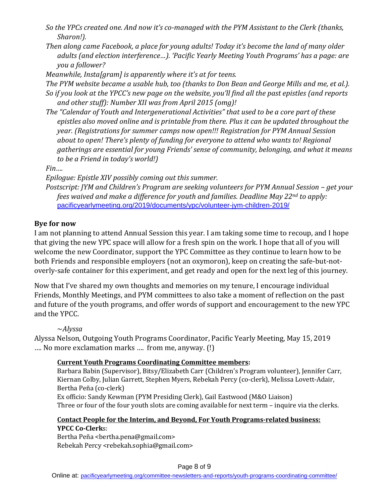- *So the YPCs created one. And now it's co-managed with the PYM Assistant to the Clerk (thanks, Sharon!).*
- *Then along came Facebook, a place for young adults! Today it's become the land of many older adults (and election interference…). 'Pacific Yearly Meeting Youth Programs' has a page: are you a follower?*

*Meanwhile, Insta[gram] is apparently where it's at for teens.*

*The PYM website became a usable hub, too (thanks to Don Bean and George Mills and me, et al.).*

- *So if you look at the YPCC's new page on the website, you'll find all the past epistles (and reports and other stuff): Number XII was from April 2015 (omg)!*
- *The "Calendar of Youth and Intergenerational Activities" that used to be a core part of these epistles also moved online and is printable from there. Plus it can be updated throughout the year. (Registrations for summer camps now open!!! Registration for PYM Annual Session about to open! There's plenty of funding for everyone to attend who wants to! Regional gatherings are essential for young Friends' sense of community, belonging, and what it means to be a Friend in today's world!)*

## *Fin….*

*Epilogue: Epistle XIV possibly coming out this summer.*

*Postscript: JYM and Children's Program are seeking volunteers for PYM Annual Session – get your fees waived and make a difference for youth and families. Deadline May 22nd to apply:* [pacificyearlymeeting.org/2019/documents/ypc/volunteer-jym-children-2019/](https://pacificyearlymeeting.org/2019/documents/ypc/volunteer-jym-children-2019/)

# **Bye for now**

I am not planning to attend Annual Session this year. I am taking some time to recoup, and I hope that giving the new YPC space will allow for a fresh spin on the work. I hope that all of you will welcome the new Coordinator, support the YPC Committee as they continue to learn how to be both Friends and responsible employers (not an oxymoron), keep on creating the safe-but-notoverly-safe container for this experiment, and get ready and open for the next leg of this journey.

Now that I've shared my own thoughts and memories on my tenure, I encourage individual Friends, Monthly Meetings, and PYM committees to also take a moment of reflection on the past and future of the youth programs, and offer words of support and encouragement to the new YPC and the YPCC.

~*Alyssa*

Alyssa Nelson, Outgoing Youth Programs Coordinator, Pacific Yearly Meeting, May 15, 2019 …. No more exclamation marks …. from me, anyway. (!)

# **Current Youth Programs Coordinating Committee members:**

Barbara Babin (Supervisor), Bitsy/Elizabeth Carr (Children's Program volunteer), Jennifer Carr, Kiernan Colby, Julian Garrett, Stephen Myers, Rebekah Percy (co-clerk), Melissa Lovett-Adair, Bertha Peña (co-clerk)

Ex officio: Sandy Kewman (PYM Presiding Clerk), Gail Eastwood (M&O Liaison) Three or four of the four youth slots are coming available for next term – inquire via the clerks.

## **Contact People for the Interim, and Beyond, For Youth Programs-related business: YPCC Co-Clerk**s:

Bertha Peña <bertha.pena@gmail.com> Rebekah Percy <rebekah.sophia@gmail.com>